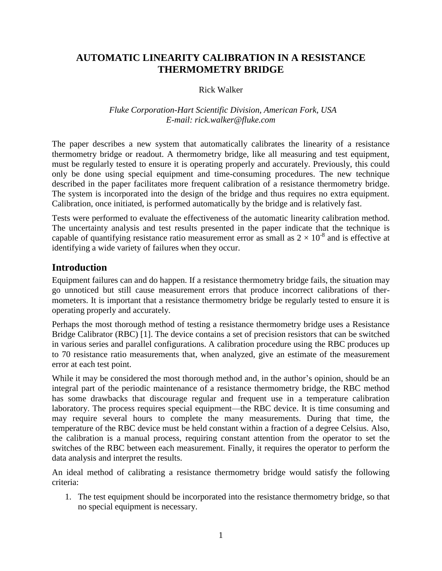# **AUTOMATIC LINEARITY CALIBRATION IN A RESISTANCE THERMOMETRY BRIDGE**

### Rick Walker

### *Fluke Corporation-Hart Scientific Division, American Fork, USA E-mail: rick.walker@fluke.com*

The paper describes a new system that automatically calibrates the linearity of a resistance thermometry bridge or readout. A thermometry bridge, like all measuring and test equipment, must be regularly tested to ensure it is operating properly and accurately. Previously, this could only be done using special equipment and time-consuming procedures. The new technique described in the paper facilitates more frequent calibration of a resistance thermometry bridge. The system is incorporated into the design of the bridge and thus requires no extra equipment. Calibration, once initiated, is performed automatically by the bridge and is relatively fast.

Tests were performed to evaluate the effectiveness of the automatic linearity calibration method. The uncertainty analysis and test results presented in the paper indicate that the technique is capable of quantifying resistance ratio measurement error as small as  $2 \times 10^{-8}$  and is effective at identifying a wide variety of failures when they occur.

# **Introduction**

Equipment failures can and do happen. If a resistance thermometry bridge fails, the situation may go unnoticed but still cause measurement errors that produce incorrect calibrations of thermometers. It is important that a resistance thermometry bridge be regularly tested to ensure it is operating properly and accurately.

Perhaps the most thorough method of testing a resistance thermometry bridge uses a Resistance Bridge Calibrator (RBC) [1]. The device contains a set of precision resistors that can be switched in various series and parallel configurations. A calibration procedure using the RBC produces up to 70 resistance ratio measurements that, when analyzed, give an estimate of the measurement error at each test point.

While it may be considered the most thorough method and, in the author's opinion, should be an integral part of the periodic maintenance of a resistance thermometry bridge, the RBC method has some drawbacks that discourage regular and frequent use in a temperature calibration laboratory. The process requires special equipment—the RBC device. It is time consuming and may require several hours to complete the many measurements. During that time, the temperature of the RBC device must be held constant within a fraction of a degree Celsius. Also, the calibration is a manual process, requiring constant attention from the operator to set the switches of the RBC between each measurement. Finally, it requires the operator to perform the data analysis and interpret the results.

An ideal method of calibrating a resistance thermometry bridge would satisfy the following criteria:

1. The test equipment should be incorporated into the resistance thermometry bridge, so that no special equipment is necessary.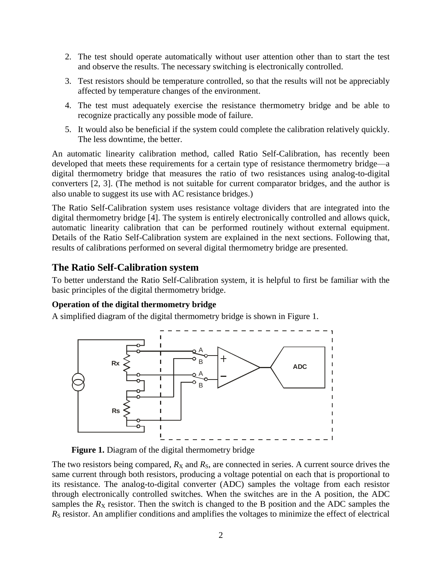- 2. The test should operate automatically without user attention other than to start the test and observe the results. The necessary switching is electronically controlled.
- 3. Test resistors should be temperature controlled, so that the results will not be appreciably affected by temperature changes of the environment.
- 4. The test must adequately exercise the resistance thermometry bridge and be able to recognize practically any possible mode of failure.
- 5. It would also be beneficial if the system could complete the calibration relatively quickly. The less downtime, the better.

An automatic linearity calibration method, called Ratio Self-Calibration, has recently been developed that meets these requirements for a certain type of resistance thermometry bridge—a digital thermometry bridge that measures the ratio of two resistances using analog-to-digital converters [2, 3]. (The method is not suitable for current comparator bridges, and the author is also unable to suggest its use with AC resistance bridges.)

The Ratio Self-Calibration system uses resistance voltage dividers that are integrated into the digital thermometry bridge [4]. The system is entirely electronically controlled and allows quick, automatic linearity calibration that can be performed routinely without external equipment. Details of the Ratio Self-Calibration system are explained in the next sections. Following that, results of calibrations performed on several digital thermometry bridge are presented.

# **The Ratio Self-Calibration system**

To better understand the Ratio Self-Calibration system, it is helpful to first be familiar with the basic principles of the digital thermometry bridge.

# **Operation of the digital thermometry bridge**

A simplified diagram of the digital thermometry bridge is shown in Figure 1.



### **Figure 1.** Diagram of the digital thermometry bridge

The two resistors being compared,  $R_X$  and  $R_S$ , are connected in series. A current source drives the same current through both resistors, producing a voltage potential on each that is proportional to its resistance. The analog-to-digital converter (ADC) samples the voltage from each resistor through electronically controlled switches. When the switches are in the A position, the ADC samples the  $R_X$  resistor. Then the switch is changed to the B position and the ADC samples the *R<sub>S</sub>* resistor. An amplifier conditions and amplifies the voltages to minimize the effect of electrical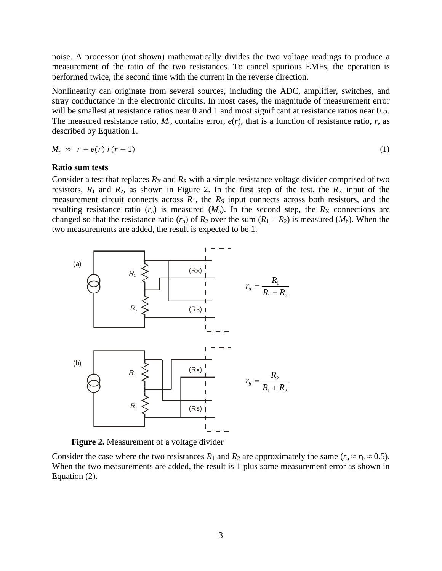noise. A processor (not shown) mathematically divides the two voltage readings to produce a measurement of the ratio of the two resistances. To cancel spurious EMFs, the operation is performed twice, the second time with the current in the reverse direction.

Nonlinearity can originate from several sources, including the ADC, amplifier, switches, and stray conductance in the electronic circuits. In most cases, the magnitude of measurement error will be smallest at resistance ratios near 0 and 1 and most significant at resistance ratios near 0.5. The measured resistance ratio,  $M_r$ , contains error,  $e(r)$ , that is a function of resistance ratio,  $r$ , as described by Equation 1.

$$
M_r \approx r + e(r) r(r-1) \tag{1}
$$

#### **Ratio sum tests**

Consider a test that replaces  $R_X$  and  $R_S$  with a simple resistance voltage divider comprised of two resistors,  $R_1$  and  $R_2$ , as shown in Figure 2. In the first step of the test, the  $R_X$  input of the measurement circuit connects across  $R_1$ , the  $R_S$  input connects across both resistors, and the resulting resistance ratio  $(r_a)$  is measured  $(M_a)$ . In the second step, the  $R_X$  connections are changed so that the resistance ratio  $(r_b)$  of  $R_2$  over the sum  $(R_1 + R_2)$  is measured  $(M_b)$ . When the two measurements are added, the result is expected to be 1.



**Figure 2.** Measurement of a voltage divider

Consider the case where the two resistances  $R_1$  and  $R_2$  are approximately the same ( $r_a \approx r_b \approx 0.5$ ). When the two measurements are added, the result is 1 plus some measurement error as shown in Equation (2).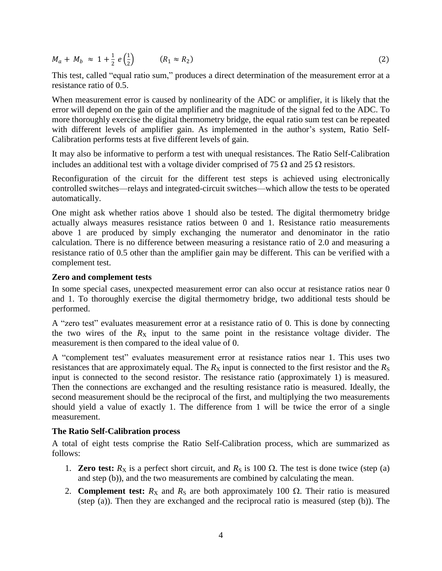$M_a + M_b \approx 1 + \frac{1}{2}$  $\frac{1}{2} e^{\frac{1}{2}}$  $\frac{1}{2}$  ( $R_1 \approx R_2$  $\qquad \qquad \qquad (2)$ 

This test, called "equal ratio sum," produces a direct determination of the measurement error at a resistance ratio of 0.5.

When measurement error is caused by nonlinearity of the ADC or amplifier, it is likely that the error will depend on the gain of the amplifier and the magnitude of the signal fed to the ADC. To more thoroughly exercise the digital thermometry bridge, the equal ratio sum test can be repeated with different levels of amplifier gain. As implemented in the author's system, Ratio Self-Calibration performs tests at five different levels of gain.

It may also be informative to perform a test with unequal resistances. The Ratio Self-Calibration includes an additional test with a voltage divider comprised of 75  $\Omega$  and 25  $\Omega$  resistors.

Reconfiguration of the circuit for the different test steps is achieved using electronically controlled switches—relays and integrated-circuit switches—which allow the tests to be operated automatically.

One might ask whether ratios above 1 should also be tested. The digital thermometry bridge actually always measures resistance ratios between 0 and 1. Resistance ratio measurements above 1 are produced by simply exchanging the numerator and denominator in the ratio calculation. There is no difference between measuring a resistance ratio of 2.0 and measuring a resistance ratio of 0.5 other than the amplifier gain may be different. This can be verified with a complement test.

### **Zero and complement tests**

In some special cases, unexpected measurement error can also occur at resistance ratios near 0 and 1. To thoroughly exercise the digital thermometry bridge, two additional tests should be performed.

A "zero test" evaluates measurement error at a resistance ratio of 0. This is done by connecting the two wires of the  $R_X$  input to the same point in the resistance voltage divider. The measurement is then compared to the ideal value of 0.

A "complement test" evaluates measurement error at resistance ratios near 1. This uses two resistances that are approximately equal. The  $R_X$  input is connected to the first resistor and the  $R_S$ input is connected to the second resistor. The resistance ratio (approximately 1) is measured. Then the connections are exchanged and the resulting resistance ratio is measured. Ideally, the second measurement should be the reciprocal of the first, and multiplying the two measurements should yield a value of exactly 1. The difference from 1 will be twice the error of a single measurement.

### **The Ratio Self-Calibration process**

A total of eight tests comprise the Ratio Self-Calibration process, which are summarized as follows:

- 1. **Zero test:**  $R_X$  is a perfect short circuit, and  $R_S$  is 100  $\Omega$ . The test is done twice (step (a) and step (b)), and the two measurements are combined by calculating the mean.
- 2. **Complement test:**  $R_X$  and  $R_S$  are both approximately 100  $\Omega$ . Their ratio is measured (step (a)). Then they are exchanged and the reciprocal ratio is measured (step (b)). The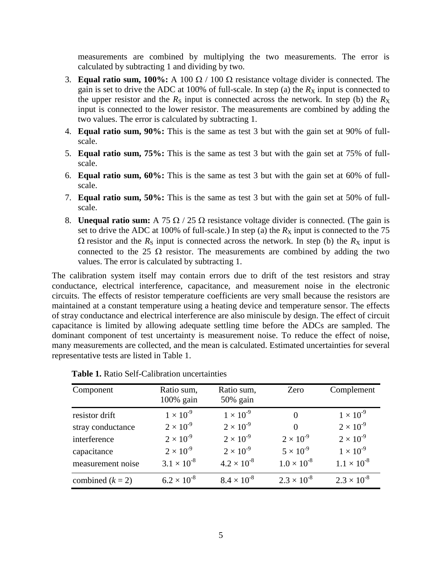measurements are combined by multiplying the two measurements. The error is calculated by subtracting 1 and dividing by two.

- 3. **Equal ratio sum, 100%:** A 100  $\Omega$  / 100  $\Omega$  resistance voltage divider is connected. The gain is set to drive the ADC at 100% of full-scale. In step (a) the  $R_X$  input is connected to the upper resistor and the  $R<sub>S</sub>$  input is connected across the network. In step (b) the  $R<sub>X</sub>$ input is connected to the lower resistor. The measurements are combined by adding the two values. The error is calculated by subtracting 1.
- 4. **Equal ratio sum, 90%:** This is the same as test 3 but with the gain set at 90% of fullscale.
- 5. **Equal ratio sum, 75%:** This is the same as test 3 but with the gain set at 75% of fullscale.
- 6. **Equal ratio sum, 60%:** This is the same as test 3 but with the gain set at 60% of fullscale.
- 7. **Equal ratio sum, 50%:** This is the same as test 3 but with the gain set at 50% of fullscale.
- 8. **Unequal ratio sum:** A 75  $\Omega$  / 25  $\Omega$  resistance voltage divider is connected. (The gain is set to drive the ADC at 100% of full-scale.) In step (a) the  $R_X$  input is connected to the 75  $\Omega$  resistor and the  $R_S$  input is connected across the network. In step (b) the  $R_X$  input is connected to the 25  $\Omega$  resistor. The measurements are combined by adding the two values. The error is calculated by subtracting 1.

The calibration system itself may contain errors due to drift of the test resistors and stray conductance, electrical interference, capacitance, and measurement noise in the electronic circuits. The effects of resistor temperature coefficients are very small because the resistors are maintained at a constant temperature using a heating device and temperature sensor. The effects of stray conductance and electrical interference are also miniscule by design. The effect of circuit capacitance is limited by allowing adequate settling time before the ADCs are sampled. The dominant component of test uncertainty is measurement noise. To reduce the effect of noise, many measurements are collected, and the mean is calculated. Estimated uncertainties for several representative tests are listed in Table 1.

| Component          | Ratio sum,<br>100% gain | Ratio sum,<br>$50\%$ gain | Zero                 | Complement           |
|--------------------|-------------------------|---------------------------|----------------------|----------------------|
|                    |                         |                           |                      |                      |
| resistor drift     | $1 \times 10^{-9}$      | $1 \times 10^{-9}$        | $\Omega$             | $1 \times 10^{-9}$   |
| stray conductance  | $2 \times 10^{-9}$      | $2 \times 10^{-9}$        | $\Omega$             | $2 \times 10^{-9}$   |
| interference       | $2 \times 10^{-9}$      | $2 \times 10^{-9}$        | $2 \times 10^{-9}$   | $2 \times 10^{-9}$   |
| capacitance        | $2 \times 10^{-9}$      | $2 \times 10^{-9}$        | $5 \times 10^{-9}$   | $1 \times 10^{-9}$   |
| measurement noise  | $3.1 \times 10^{-8}$    | $4.2 \times 10^{-8}$      | $1.0 \times 10^{-8}$ | $1.1 \times 10^{-8}$ |
| combined $(k = 2)$ | $6.2 \times 10^{-8}$    | $8.4 \times 10^{-8}$      | $2.3 \times 10^{-8}$ | $2.3 \times 10^{-8}$ |

| <b>Table 1.</b> Ratio Self-Calibration uncertainties |
|------------------------------------------------------|
|------------------------------------------------------|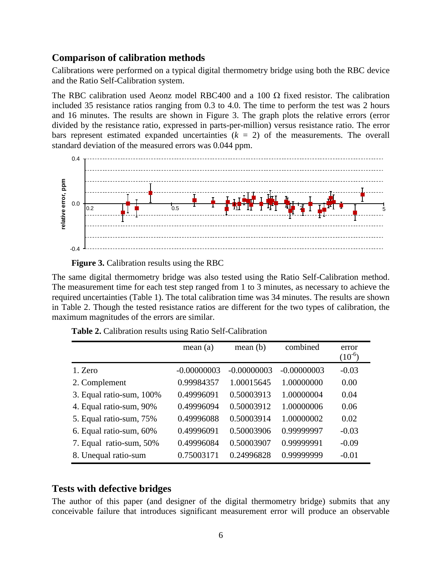### **Comparison of calibration methods**

Calibrations were performed on a typical digital thermometry bridge using both the RBC device and the Ratio Self-Calibration system.

The RBC calibration used Aeonz model RBC400 and a 100  $\Omega$  fixed resistor. The calibration included 35 resistance ratios ranging from 0.3 to 4.0. The time to perform the test was 2 hours and 16 minutes. The results are shown in Figure 3. The graph plots the relative errors (error divided by the resistance ratio, expressed in parts-per-million) versus resistance ratio. The error bars represent estimated expanded uncertainties  $(k = 2)$  of the measurements. The overall standard deviation of the measured errors was 0.044 ppm.



**Figure 3.** Calibration results using the RBC

The same digital thermometry bridge was also tested using the Ratio Self-Calibration method. The measurement time for each test step ranged from 1 to 3 minutes, as necessary to achieve the required uncertainties (Table 1). The total calibration time was 34 minutes. The results are shown in Table 2. Though the tested resistance ratios are different for the two types of calibration, the maximum magnitudes of the errors are similar.

|                          | mean(a)       | mean(b)       | combined      | error<br>$(10^{-6})$ |
|--------------------------|---------------|---------------|---------------|----------------------|
| 1. Zero                  | $-0.00000003$ | $-0.00000003$ | $-0.00000003$ | $-0.03$              |
| 2. Complement            | 0.99984357    | 1.00015645    | 1.00000000    | 0.00                 |
| 3. Equal ratio-sum, 100% | 0.49996091    | 0.50003913    | 1.00000004    | 0.04                 |
| 4. Equal ratio-sum, 90%  | 0.49996094    | 0.50003912    | 1.00000006    | 0.06                 |
| 5. Equal ratio-sum, 75%  | 0.49996088    | 0.50003914    | 1.00000002    | 0.02                 |
| 6. Equal ratio-sum, 60%  | 0.49996091    | 0.50003906    | 0.99999997    | $-0.03$              |
| 7. Equal ratio-sum, 50%  | 0.49996084    | 0.50003907    | 0.99999991    | $-0.09$              |
| 8. Unequal ratio-sum     | 0.75003171    | 0.24996828    | 0.99999999    | $-0.01$              |

**Table 2.** Calibration results using Ratio Self-Calibration

# **Tests with defective bridges**

The author of this paper (and designer of the digital thermometry bridge) submits that any conceivable failure that introduces significant measurement error will produce an observable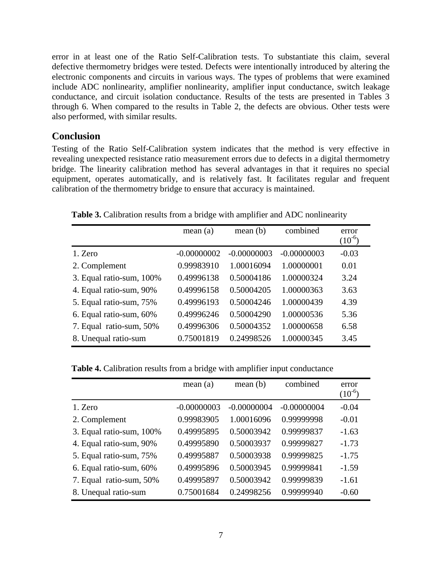error in at least one of the Ratio Self-Calibration tests. To substantiate this claim, several defective thermometry bridges were tested. Defects were intentionally introduced by altering the electronic components and circuits in various ways. The types of problems that were examined include ADC nonlinearity, amplifier nonlinearity, amplifier input conductance, switch leakage conductance, and circuit isolation conductance. Results of the tests are presented in Tables 3 through 6. When compared to the results in Table 2, the defects are obvious. Other tests were also performed, with similar results.

## **Conclusion**

Testing of the Ratio Self-Calibration system indicates that the method is very effective in revealing unexpected resistance ratio measurement errors due to defects in a digital thermometry bridge. The linearity calibration method has several advantages in that it requires no special equipment, operates automatically, and is relatively fast. It facilitates regular and frequent calibration of the thermometry bridge to ensure that accuracy is maintained.

|                          | mean(a)       | mean(b)       | combined      | error<br>$(10^{-6})$ |
|--------------------------|---------------|---------------|---------------|----------------------|
| 1. Zero                  | $-0.00000002$ | $-0.00000003$ | $-0.00000003$ | $-0.03$              |
| 2. Complement            | 0.99983910    | 1.00016094    | 1.00000001    | 0.01                 |
| 3. Equal ratio-sum, 100% | 0.49996138    | 0.50004186    | 1.00000324    | 3.24                 |
| 4. Equal ratio-sum, 90%  | 0.49996158    | 0.50004205    | 1.00000363    | 3.63                 |
| 5. Equal ratio-sum, 75%  | 0.49996193    | 0.50004246    | 1.00000439    | 4.39                 |
| 6. Equal ratio-sum, 60%  | 0.49996246    | 0.50004290    | 1.00000536    | 5.36                 |
| 7. Equal ratio-sum, 50%  | 0.49996306    | 0.50004352    | 1.00000658    | 6.58                 |
| 8. Unequal ratio-sum     | 0.75001819    | 0.24998526    | 1.00000345    | 3.45                 |

**Table 3.** Calibration results from a bridge with amplifier and ADC nonlinearity

**Table 4.** Calibration results from a bridge with amplifier input conductance

|                          | mean(a)       | mean(b)       | combined      | error<br>$(10^{-6})$ |
|--------------------------|---------------|---------------|---------------|----------------------|
| 1. Zero                  | $-0.00000003$ | $-0.00000004$ | $-0.00000004$ | $-0.04$              |
| 2. Complement            | 0.99983905    | 1.00016096    | 0.99999998    | $-0.01$              |
| 3. Equal ratio-sum, 100% | 0.49995895    | 0.50003942    | 0.99999837    | $-1.63$              |
| 4. Equal ratio-sum, 90%  | 0.49995890    | 0.50003937    | 0.99999827    | $-1.73$              |
| 5. Equal ratio-sum, 75%  | 0.49995887    | 0.50003938    | 0.99999825    | $-1.75$              |
| 6. Equal ratio-sum, 60%  | 0.49995896    | 0.50003945    | 0.99999841    | $-1.59$              |
| 7. Equal ratio-sum, 50%  | 0.49995897    | 0.50003942    | 0.99999839    | $-1.61$              |
| 8. Unequal ratio-sum     | 0.75001684    | 0.24998256    | 0.99999940    | $-0.60$              |